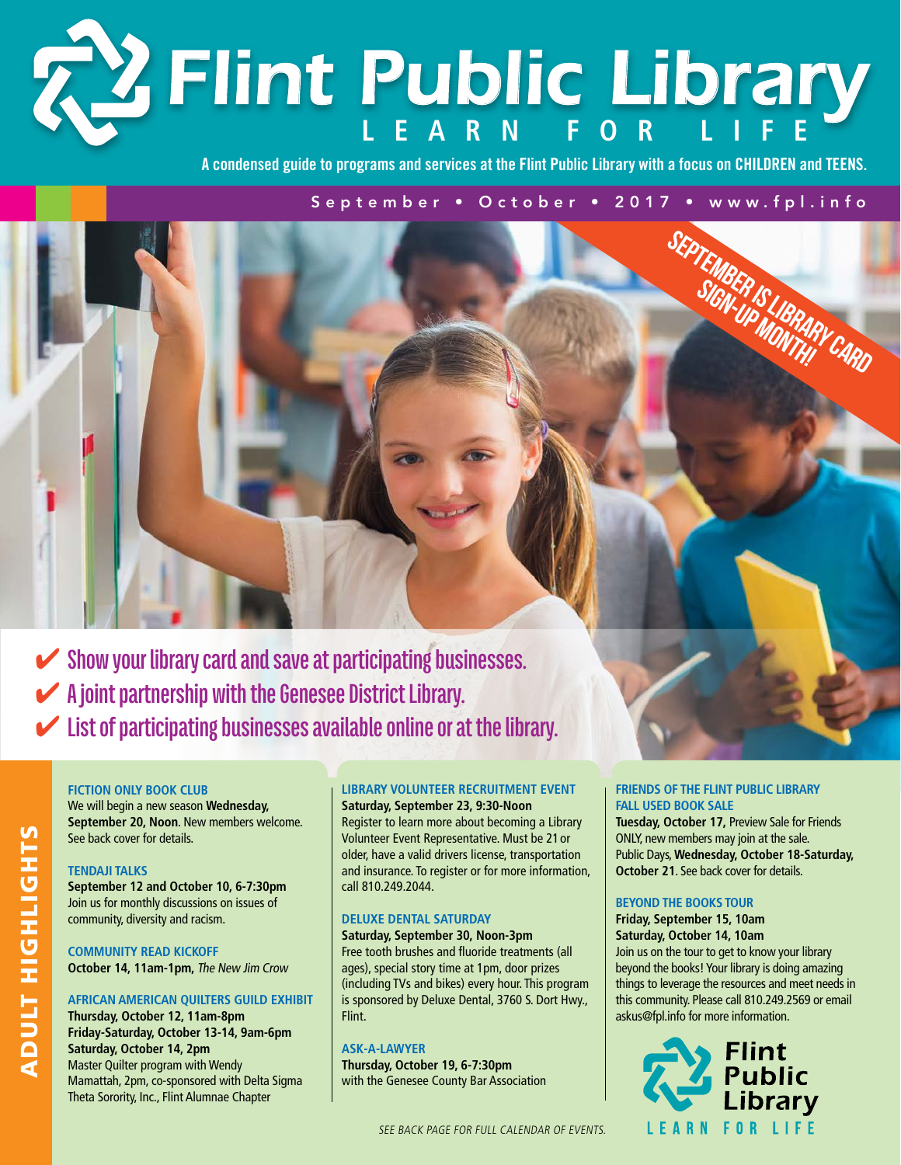# **Learn f or Li f e** *Flint Public Library*

**A condensed guide to programs and services at the Flint Public Library with a focus on CHILDREN and TEENS.**

SEPTEMBER IS LIBRARY CARD September • October • 2017 • www.fpl.info

✔ **Show your library card and save at participating businesses.**  ✔ **A joint partnership with the Genesee District Library.**  ✔ **List of participating businesses available online or at the library.**

#### **Fiction Only Book Club**

We will begin a new season **Wednesday, September 20, Noon**. New members welcome. See back cover for details.

#### **Tendaji Talks**

**September 12 and October 10, 6-7:30pm** Join us for monthly discussions on issues of community, diversity and racism.

**Community Read Kickoff October 14, 11am-1pm,** The New Jim Crow

### **African American Quilters Guild Exhibit**

**Thursday, October 12, 11am-8pm Friday-Saturday, October 13-14, 9am-6pm Saturday, October 14, 2pm**  Master Quilter program with Wendy Mamattah, 2pm, co-sponsored with Delta Sigma Theta Sorority, Inc., Flint Alumnae Chapter

#### **Library Volunteer Recruitment Event Saturday, September 23, 9:30-Noon**

Register to learn more about becoming a Library Volunteer Event Representative. Must be 21 or older, have a valid drivers license, transportation and insurance. To register or for more information, call 810.249.2044.

### **Deluxe Dental Saturday**

**Saturday, September 30, Noon-3pm** Free tooth brushes and fluoride treatments (all ages), special story time at 1pm, door prizes (including TVs and bikes) every hour. This program is sponsored by Deluxe Dental, 3760 S. Dort Hwy., Flint.

#### **Ask-A-Lawyer**

**Thursday, October 19, 6-7:30pm** with the Genesee County Bar Association

#### **Friends of the Flint Public Library Fall Used Book Sale**

**Tuesday, October 17,** Preview Sale for Friends ONLY, new members may join at the sale. Public Days, **Wednesday, October 18-Saturday, October 21**. See back cover for details.

#### **Beyond the Books Tour**

**Friday, September 15, 10am Saturday, October 14, 10am** Join us on the tour to get to know your library beyond the books! Your library is doing amazing things to leverage the resources and meet needs in this community. Please call 810.249.2569 or email askus@fpl.info for more information.



See back page for full calendar of events.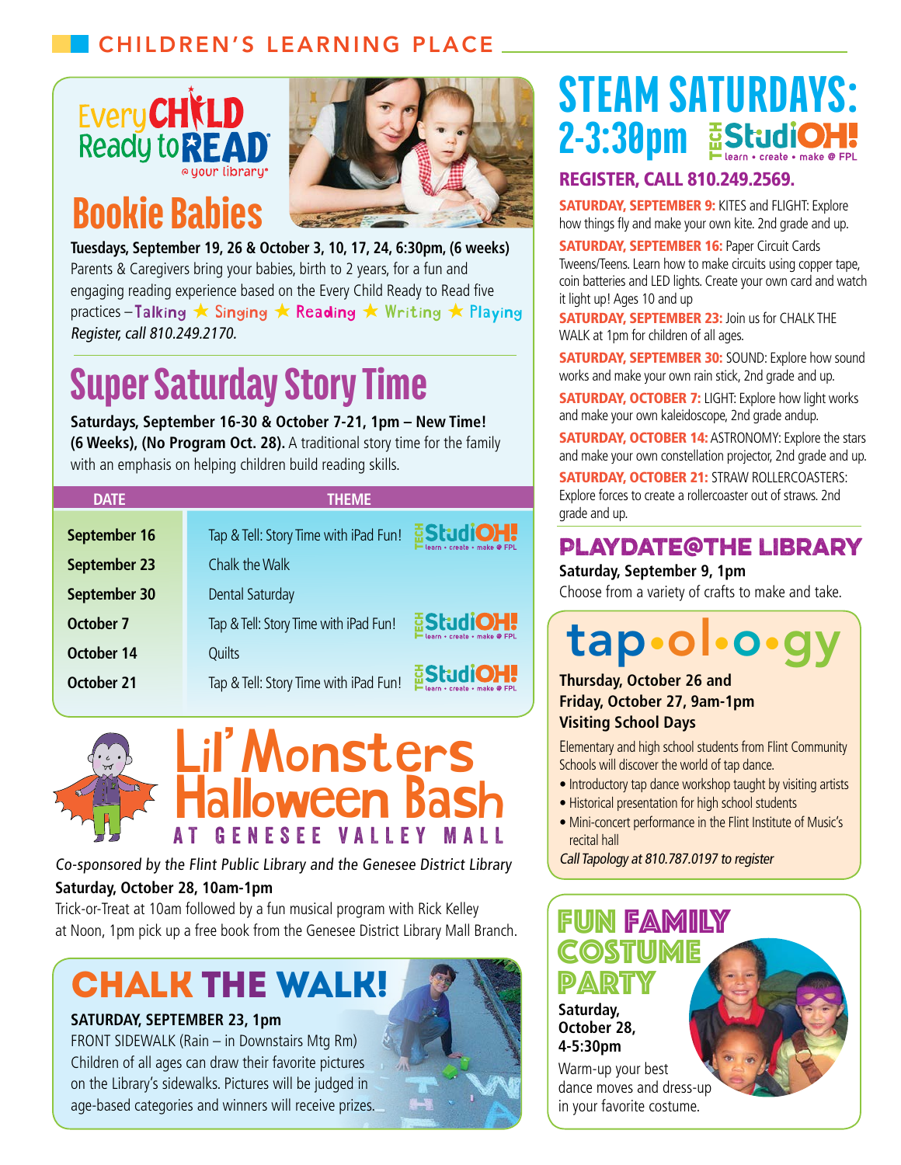## Children's Learning Place



# Bookie Babies



**Tuesdays, September 19, 26 & October 3, 10, 17, 24, 6:30pm, (6 weeks)** Parents & Caregivers bring your babies, birth to 2 years, for a fun and engaging reading experience based on the Every Child Ready to Read five practices-Talking ★ Singing ★ Reading ★ Writing ★ Playing Register, call 810.249.2170.

# Super Saturday Story Time

**Saturdays, September 16-30 & October 7-21, 1pm – New Time! (6 Weeks), (No Program Oct. 28).** A traditional story time for the family with an emphasis on helping children build reading skills.

| <b>DATE</b>  | <b>THEME</b>                          |                                                 |
|--------------|---------------------------------------|-------------------------------------------------|
| September 16 | Tap & Tell: Story Time with iPad Fun! | <b>EStudiOH!</b><br>learn • create • make @ FPL |
| September 23 | Chalk the Walk                        |                                                 |
| September 30 | Dental Saturday                       |                                                 |
| October 7    | Tap & Tell: Story Time with iPad Fun! | <b>EStudiOH!</b><br>learn • create • make @ FPL |
| October 14   | Quilts                                |                                                 |
| October 21   | Tap & Tell: Story Time with iPad Fun! | <b>EStudiOH!</b><br>learn • create • make @ FPL |





**Saturday, October 28, 10am-1pm** Co-sponsored by the Flint Public Library and the Genesee District Library

Trick-or-Treat at 10am followed by a fun musical program with Rick Kelley at Noon, 1pm pick up a free book from the Genesee District Library Mall Branch.

# Chalk The Walk!

### **SATURDAY, SEPTEMBER 23, 1pm**

FRONT SIDEWALK (Rain – in Downstairs Mtg Rm) Children of all ages can draw their favorite pictures on the Library's sidewalks. Pictures will be judged in age-based categories and winners will receive prizes.

# STEAM SATURDAYS: 2-3:30pm EStudiOH!

## Register, call 810.249.2569.

**SATURDAY, SEPTEMBER 9: KITES and FLIGHT: Explore** how things fly and make your own kite. 2nd grade and up.

**SATURDAY, SEPTEMBER 16: Paper Circuit Cards** Tweens/Teens. Learn how to make circuits using copper tape, coin batteries and LED lights. Create your own card and watch it light up! Ages 10 and up

**SATURDAY, SEPTEMBER 23: Join us for CHALK THE** WALK at 1pm for children of all ages.

**SATURDAY, SEPTEMBER 30: SOUND: Explore how sound** works and make your own rain stick, 2nd grade and up.

**SATURDAY, OCTOBER 7:** LIGHT: Explore how light works and make your own kaleidoscope, 2nd grade andup.

**SATURDAY, OCTOBER 14: ASTRONOMY: Explore the stars** and make your own constellation projector, 2nd grade and up.

Saturday, October 21: STRAW ROLLERCOASTERS: Explore forces to create a rollercoaster out of straws. 2nd grade and up.

## **Playdate@the Library**

### **Saturday, September 9, 1pm**

Choose from a variety of crafts to make and take.

# tap•o

### **Thursday, October 26 and Friday, October 27, 9am-1pm Visiting School Days**

Elementary and high school students from Flint Community Schools will discover the world of tap dance.

- Introductory tap dance workshop taught by visiting artists
- Historical presentation for high school students
- Mini-concert performance in the Flint Institute of Music's recital hall

Call Tapology at 810.787.0197 to register

## **Saturday, October 28, 4-5:30pm** Warm-up your best dance moves and dress-up in your favorite costume. **N FAMILY COSTUME** PARTY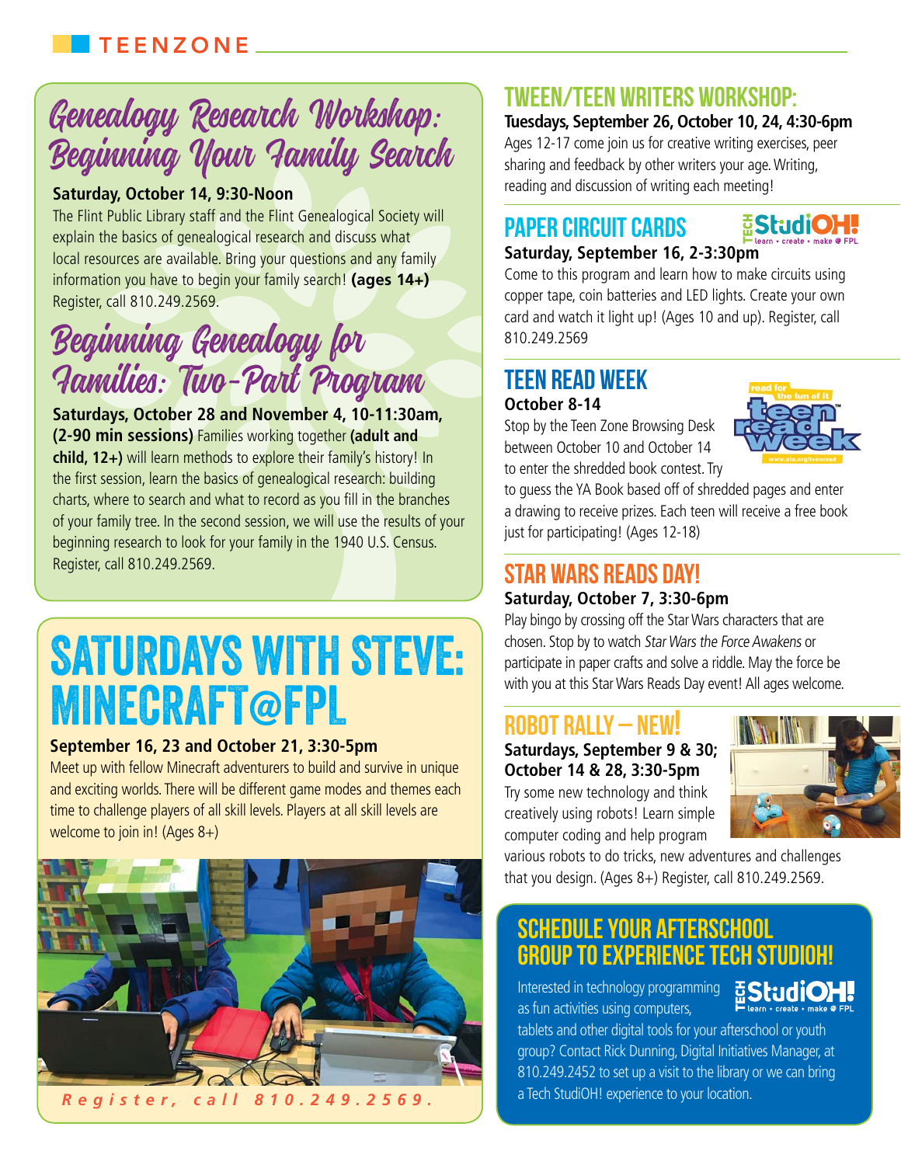# Genealogy Research Workshop: Beginning Your Family Search

## **Saturday, October 14, 9:30-Noon**

The Flint Public Library staff and the Flint Genealogical Society will explain the basics of genealogical research and discuss what local resources are available. Bring your questions and any family information you have to begin your family search! **(ages 14+)** Register, call 810.249.2569.

# Beginning Genealogy for Families: Two-Part Program

**Saturdays, October 28 and November 4, 10-11:30am, (2-90 min sessions)** Families working together **(adult and child, 12+)** will learn methods to explore their family's history! In the first session, learn the basics of genealogical research: building charts, where to search and what to record as you fill in the branches of your family tree. In the second session, we will use the results of your beginning research to look for your family in the 1940 U.S. Census. Register, call 810.249.2569.

# SATURDAYS WITH STEVE: **MINECRAFT@FPL**

### **September 16, 23 and October 21, 3:30-5pm**

Meet up with fellow Minecraft adventurers to build and survive in unique and exciting worlds. There will be different game modes and themes each time to challenge players of all skill levels. Players at all skill levels are welcome to join in! (Ages 8+)



## Tween/Teen Writers Workshop:

### **Tuesdays, September 26, October 10, 24, 4:30-6pm**

Ages 12-17 come join us for creative writing exercises, peer sharing and feedback by other writers your age. Writing, reading and discussion of writing each meeting!

### **ESRINO H** Paper Circuit Cards **Saturday, September 16, 2-3:30pm**

Come to this program and learn how to make circuits using copper tape, coin batteries and LED lights. Create your own card and watch it light up! (Ages 10 and up). Register, call 810.249.2569

## Teen Read Week **October 8-14**

Stop by the Teen Zone Browsing Desk between October 10 and October 14 to enter the shredded book contest. Try



to guess the YA Book based off of shredded pages and enter a drawing to receive prizes. Each teen will receive a free book just for participating! (Ages 12-18)

# Star Wars Reads Day!

### **Saturday, October 7, 3:30-6pm**

Play bingo by crossing off the Star Wars characters that are chosen. Stop by to watch Star Wars the Force Awakens or participate in paper crafts and solve a riddle. May the force be with you at this Star Wars Reads Day event! All ages welcome.

## ROBOT RALLY – NEW!

**Saturdays, September 9 & 30; October 14 & 28, 3:30-5pm**

Try some new technology and think creatively using robots! Learn simple computer coding and help program



various robots to do tricks, new adventures and challenges that you design. (Ages 8+) Register, call 810.249.2569.

# Schedule your Afterschool Group to experience Tech StudiOH!

Interested in technology programming BStudiOH. as fun activities using computers,



tablets and other digital tools for your afterschool or youth group? Contact Rick Dunning, Digital Initiatives Manager, at 810.249.2452 to set up a visit to the library or we can bring a Tech StudiOH! experience to your location.